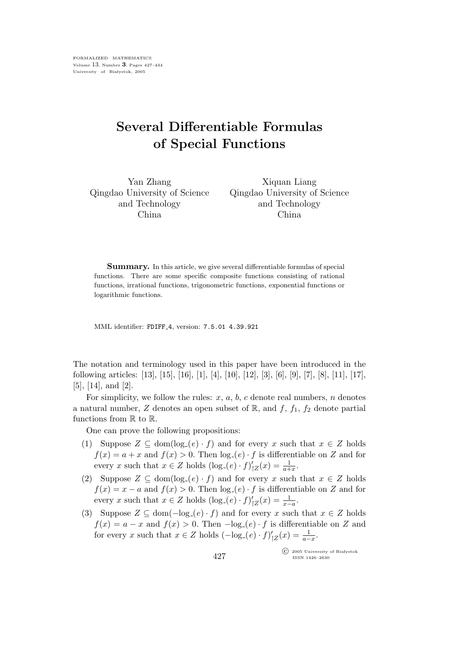FORMALIZED MATHEMATICS Volume 13, Number 3, Pages 427–434 University of Białystok, 2005

## Several Differentiable Formulas of Special Functions

Yan Zhang Qingdao University of Science and Technology China

Xiquan Liang Qingdao University of Science and Technology China

Summary. In this article, we give several differentiable formulas of special functions. There are some specific composite functions consisting of rational functions, irrational functions, trigonometric functions, exponential functions or logarithmic functions.

MML identifier: FDIFF 4, version: 7.5.01 4.39.921

The notation and terminology used in this paper have been introduced in the following articles: [13], [15], [16], [1], [4], [10], [12], [3], [6], [9], [7], [8], [11], [17], [5], [14], and [2].

For simplicity, we follow the rules:  $x, a, b, c$  denote real numbers, n denotes a natural number, Z denotes an open subset of  $\mathbb{R}$ , and  $f$ ,  $f_1$ ,  $f_2$  denote partial functions from  $\mathbb R$  to  $\mathbb R$ .

One can prove the following propositions:

- (1) Suppose  $Z \subseteq \text{dom}(\log_{-}(e) \cdot f)$  and for every x such that  $x \in Z$  holds  $f(x) = a + x$  and  $f(x) > 0$ . Then  $log_{a}(e) \cdot f$  is differentiable on Z and for every x such that  $x \in Z$  holds  $(\log_{-}(e) \cdot f)'$  $I'_{|Z}(x) = \frac{1}{a+x}.$
- (2) Suppose  $Z \subseteq \text{dom}(\log_{-}(e) \cdot f)$  and for every x such that  $x \in Z$  holds  $f(x) = x - a$  and  $f(x) > 0$ . Then  $log_{-}(e) \cdot f$  is differentiable on Z and for every x such that  $x \in Z$  holds  $(\log_{-}(e) \cdot f)'$  $I'_{|Z}(x) = \frac{1}{x-a}.$
- (3) Suppose  $Z \subseteq \text{dom}(-\text{log}_{-}(e) \cdot f)$  and for every x such that  $x \in Z$  holds  $f(x) = a - x$  and  $f(x) > 0$ . Then  $-\log_{e}(e) \cdot f$  is differentiable on Z and for every x such that  $x \in Z$  holds  $(-\log_{-}(e) \cdot f)'$  $I_{|Z}(x) = \frac{1}{a-x}.$

 $\widehat{\mathbb{C}}$  2005 University of Białystok ISSN 1426–2630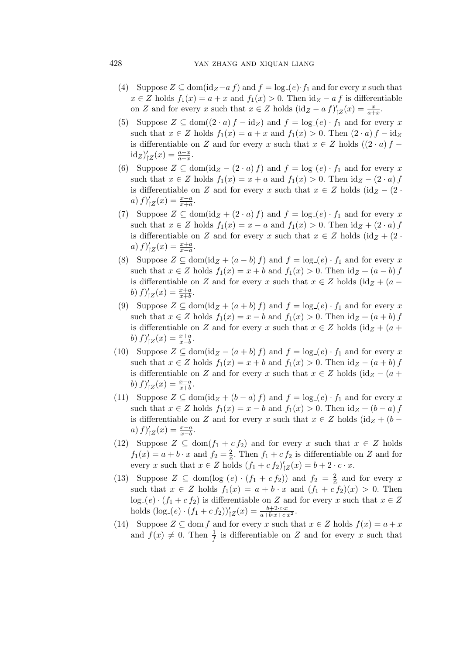- (4) Suppose  $Z \subseteq \text{dom}(\text{id}_Z af)$  and  $f = \log_{\mathcal{I}}(e) \cdot f_1$  and for every x such that  $x \in Z$  holds  $f_1(x) = a + x$  and  $f_1(x) > 0$ . Then  $id_Z - af$  is differentiable on Z and for every x such that  $x \in Z$  holds  $(\mathrm{id}_Z - af)'$  $\iota_{|Z}'(x) = \frac{x}{a+x}.$
- (5) Suppose  $Z \subseteq \text{dom}((2 \cdot a) f id_Z)$  and  $f = \log_{-}(e) \cdot f_1$  and for every x such that  $x \in Z$  holds  $f_1(x) = a + x$  and  $f_1(x) > 0$ . Then  $(2 \cdot a) f - id_Z$ is differentiable on Z and for every x such that  $x \in Z$  holds  $((2 \cdot a) f \mathrm{id}_{Z})^{\prime}$  $\iota_{|Z}'(x) = \frac{a-x}{a+x}.$
- (6) Suppose  $Z \subseteq \text{dom}(\text{id}_Z (2 \cdot a) f)$  and  $f = \log_{a}(e) \cdot f_1$  and for every x such that  $x \in Z$  holds  $f_1(x) = x + a$  and  $f_1(x) > 0$ . Then  $id_Z - (2 \cdot a) f$ is differentiable on Z and for every x such that  $x \in Z$  holds  $(id_Z - (2 \cdot$  $a) f)'$  $\iota_{|Z}'(x) = \frac{x-a}{x+a}.$
- (7) Suppose  $Z \subseteq \text{dom}(\text{id}_Z + (2 \cdot a) f)$  and  $f = \log_{a}(e) \cdot f_1$  and for every x such that  $x \in Z$  holds  $f_1(x) = x - a$  and  $f_1(x) > 0$ . Then  $id_Z + (2 \cdot a) f$ is differentiable on Z and for every x such that  $x \in Z$  holds  $(id_Z + (2 \cdot$  $a) f)'$  $\zeta_{|Z}(x) = \frac{x+a}{x-a}.$
- (8) Suppose  $Z \subseteq \text{dom}(\text{id}_Z + (a b)f)$  and  $f = \log_e(e) \cdot f_1$  and for every x such that  $x \in Z$  holds  $f_1(x) = x + b$  and  $f_1(x) > 0$ . Then  $id_Z + (a - b) f$ is differentiable on Z and for every x such that  $x \in Z$  holds  $(id_Z + (a (b) f)'$  $\zeta_{|Z}(x) = \frac{x+a}{x+b}.$
- (9) Suppose  $Z \subseteq \text{dom}(\text{id}_Z + (a+b) f)$  and  $f = \log_{a}(e) \cdot f_1$  and for every x such that  $x \in Z$  holds  $f_1(x) = x - b$  and  $f_1(x) > 0$ . Then  $id_Z + (a + b) f$ is differentiable on Z and for every x such that  $x \in Z$  holds  $(\mathrm{id}_Z + (a +$  $(b) f)'$  $\zeta_{|Z}(x) = \frac{x+a}{x-b}.$
- (10) Suppose  $Z \subseteq \text{dom}(\text{id}_Z (a+b) f)$  and  $f = \log_e(e) \cdot f_1$  and for every x such that  $x \in Z$  holds  $f_1(x) = x + b$  and  $f_1(x) > 0$ . Then  $id_Z - (a + b) f$ is differentiable on Z and for every x such that  $x \in Z$  holds  $(id_Z - (a +$  $(b) f)'$  $\iota_{|Z}'(x) = \frac{x-a}{x+b}.$
- (11) Suppose  $Z \subseteq \text{dom}(\text{id}_Z + (b a) f)$  and  $f = \log_e(e) \cdot f_1$  and for every x such that  $x \in Z$  holds  $f_1(x) = x - b$  and  $f_1(x) > 0$ . Then  $id_Z + (b - a) f$ is differentiable on Z and for every x such that  $x \in Z$  holds  $(id_Z + (b$  $a) f)'$  $\iota_{|Z}'(x) = \frac{x-a}{x-b}.$
- (12) Suppose  $Z \subseteq \text{dom}(f_1 + c f_2)$  and for every x such that  $x \in Z$  holds  $f_1(x) = a + b \cdot x$  and  $f_2 = \frac{2}{x}$ . Then  $f_1 + c f_2$  is differentiable on Z and for every x such that  $x \in Z$  holds  $(f_1 + c f_2)'$  $\iota'_{|Z}(x) = b + 2 \cdot c \cdot x.$
- (13) Suppose  $Z \subseteq \text{dom}(\log_{-}(e) \cdot (f_1 + c f_2))$  and  $f_2 = \frac{2}{\mathbb{Z}}$  and for every x such that  $x \in Z$  holds  $f_1(x) = a + b \cdot x$  and  $(f_1 + c f_2)(x) > 0$ . Then  $log_{2}(e) \cdot (f_1 + c f_2)$  is differentiable on Z and for every x such that  $x \in Z$ holds  $(\log_{-}(e) \cdot (f_1 + c f_2))'_{|Z}(x) = \frac{b+2 \cdot c \cdot x}{a+b \cdot x+c \cdot x^2}$ .
- (14) Suppose  $Z \subseteq \text{dom } f$  and for every x such that  $x \in Z$  holds  $f(x) = a + x$ and  $f(x) \neq 0$ . Then  $\frac{1}{f}$  is differentiable on Z and for every x such that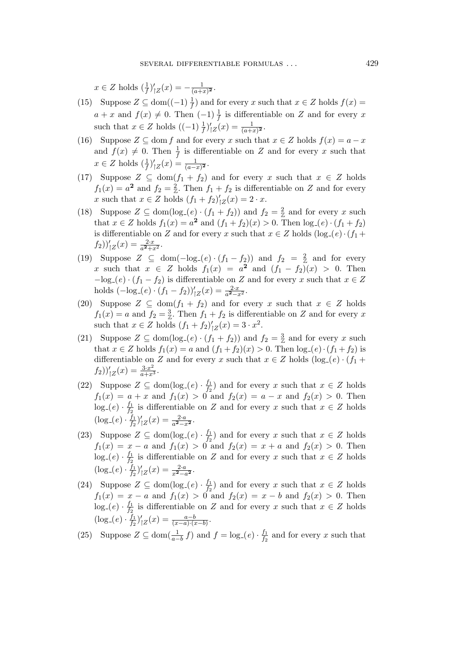$x \in Z$  holds  $\left(\frac{1}{f}\right)'$  $\frac{1}{|Z}(x) = -\frac{1}{(a+1)}$  $\frac{1}{(a+x)^2}$ .

- (15) Suppose  $Z \subseteq \text{dom}((-1)\frac{1}{f})$  and for every x such that  $x \in Z$  holds  $f(x) =$  $a + x$  and  $f(x) \neq 0$ . Then  $(-1)\frac{1}{f}$  is differentiable on Z and for every x such that  $x \in Z$  holds  $((-1)\frac{1}{f})'$  $\iota'_{|Z}(x) = \frac{1}{(a+x)^2}.$
- (16) Suppose  $Z \subseteq$  dom f and for every x such that  $x \in Z$  holds  $f(x) = a x$ and  $f(x) \neq 0$ . Then  $\frac{1}{f}$  is differentiable on Z and for every x such that  $x \in Z$  holds  $\left(\frac{1}{f}\right)'$  $\iota'_{|Z}(x) = \frac{1}{(a-x)^2}.$
- (17) Suppose  $Z \subseteq \text{dom}(f_1 + f_2)$  and for every x such that  $x \in Z$  holds  $f_1(x) = a^2$  and  $f_2 = \frac{2}{x}$ . Then  $f_1 + f_2$  is differentiable on Z and for every x such that  $x \in Z$  holds  $(f_1 + f_2)'$  $y_Z'(x) = 2 \cdot x.$
- (18) Suppose  $Z \subseteq \text{dom}(\log_{-}(e) \cdot (f_1 + f_2))$  and  $f_2 = \frac{2}{Z}$  and for every x such that  $x \in Z$  holds  $f_1(x) = a^2$  and  $(f_1 + f_2)(x) > 0$ . Then  $log_{e}(e) \cdot (f_1 + f_2)$ is differentiable on Z and for every x such that  $x \in Z$  holds  $(\log_{-}(e) \cdot (f_1 +$  $f_2)$ <sup>'</sup><sub> $|Z(x) = \frac{2 \cdot x}{a^2 + x^2}$ .</sub>
- (19) Suppose  $Z \subseteq \text{dom}(-\log_{-}(e) \cdot (f_1 f_2))$  and  $f_2 = \frac{2}{Z}$  and for every x such that  $x \in Z$  holds  $f_1(x) = a^2$  and  $(f_1 - f_2)(x) > 0$ . Then  $-\log_e(e) \cdot (f_1 - f_2)$  is differentiable on Z and for every x such that  $x \in Z$ holds  $\left(-\log_{-}(e) \cdot (f_1 - f_2)\right)'_{\vert Z}(x) = \frac{2 \cdot x}{a^2 - x^2}$ .
- (20) Suppose  $Z \subseteq \text{dom}(f_1 + f_2)$  and for every x such that  $x \in Z$  holds  $f_1(x) = a$  and  $f_2 = \frac{3}{x}$ . Then  $f_1 + f_2$  is differentiable on Z and for every x such that  $x \in Z$  holds  $(f_1 + f_2)'$  $y_Z'(x) = 3 \cdot x^2$ .
- (21) Suppose  $Z \subseteq \text{dom}(\log_{-}(e) \cdot (f_1 + f_2))$  and  $f_2 = \frac{3}{Z}$  and for every x such that  $x \in Z$  holds  $f_1(x) = a$  and  $(f_1 + f_2)(x) > 0$ . Then  $\log_{2}(e) \cdot (f_1 + f_2)$  is differentiable on Z and for every x such that  $x \in Z$  holds  $(\log_{-}(e) \cdot (f_1 +$  $f_2)$ <sup>'</sup><sub> $|Z(x) = \frac{3 \cdot x^2}{a + x^3}.$ </sub>
- (22) Suppose  $Z \subseteq \text{dom}(\log_{e}(e) \cdot \frac{f_1}{f_2})$  $\frac{J_1}{J_2}$  and for every x such that  $x \in Z$  holds  $f_1(x) = a + x$  and  $f_1(x) > 0$  and  $f_2(x) = a - x$  and  $f_2(x) > 0$ . Then  $log_{-}(e) \cdot \frac{f_1}{f_2}$  $\frac{J_1}{J_2}$  is differentiable on Z and for every x such that  $x \in Z$  holds  $(\log_{-}(e) \cdot \frac{f_1}{f_2})$  $\frac{\bar{f}_1}{f_2}\big)'$  $\iota_{|Z}'(x) = \frac{2 \cdot a}{a^2 - x^2}.$
- (23) Suppose  $Z \subseteq \text{dom}(\log_{e}(e) \cdot \frac{f_1}{f_2})$  $\frac{J_1}{J_2}$  and for every x such that  $x \in Z$  holds  $f_1(x) = x - a$  and  $f_1(x) > 0$  and  $f_2(x) = x + a$  and  $f_2(x) > 0$ . Then  $log_{-}(e) \cdot \frac{f_1}{f_2}$  $\frac{J_1}{J_2}$  is differentiable on Z and for every x such that  $x \in Z$  holds  $(\log_{-}(e) \cdot \frac{f_1}{f_2})$  $\frac{f_1}{f_2}\Big)'$  $C_{|Z}(x) = \frac{2 \cdot a}{x^2 - a^2}.$
- (24) Suppose  $Z \subseteq \text{dom}(\log_{e}(e) \cdot \frac{f_1}{f_0})$  $\frac{J_1}{J_2}$  and for every x such that  $x \in Z$  holds  $f_1(x) = x - a$  and  $f_1(x) > 0$  and  $f_2(x) = x - b$  and  $f_2(x) > 0$ . Then  $log_{-}(e) \cdot \frac{f_1}{f_2}$  $\frac{J_1}{J_2}$  is differentiable on Z and for every x such that  $x \in Z$  holds  $(\log_{-}(e) \cdot \frac{f_1}{f_2})$  $\frac{\bar{f}_1}{f_2}\big)'$  $\iota'_{|Z}(x) = \frac{a-b}{(x-a)\cdot(x-b)}.$
- (25) Suppose  $Z \subseteq \text{dom}(\frac{1}{a-b}f)$  and  $f = \log_{-}(e) \cdot \frac{f_1}{f_2}$  $\frac{f_1}{f_2}$  and for every x such that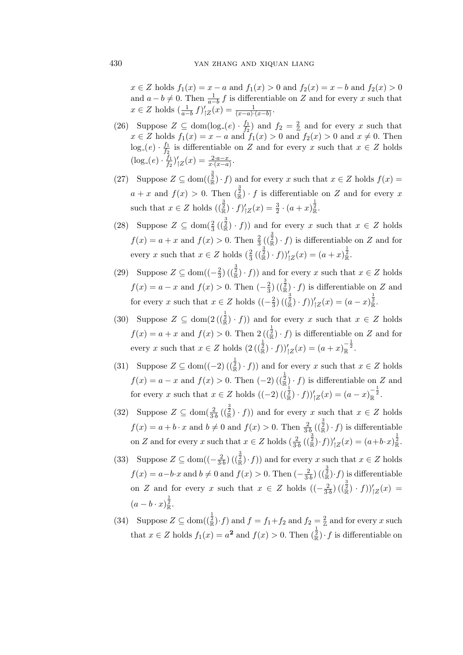$x \in Z$  holds  $f_1(x) = x - a$  and  $f_1(x) > 0$  and  $f_2(x) = x - b$  and  $f_2(x) > 0$ and  $a - b \neq 0$ . Then  $\frac{1}{a - b} f$  is differentiable on Z and for every x such that  $x \in Z$  holds  $\left(\frac{1}{a-b} f\right)'$  $\zeta_{|Z}(x) = \frac{1}{(x-a)\cdot(x-b)}$ .

- (26) Suppose  $Z \subseteq \text{dom}(\log_{e}(e) \cdot \frac{f_1}{f_2})$  $\frac{f_1}{f_2}$  and  $f_2 = \frac{2}{\mathbb{Z}}$  and for every x such that  $x \in Z$  holds  $f_1(x) = x - a$  and  $f_1(x) > 0$  and  $f_2(x) > 0$  and  $x \neq 0$ . Then  $log_{-}(e) \cdot \frac{f_1}{f_2}$  $\frac{J_1}{J_2}$  is differentiable on Z and for every x such that  $x \in Z$  holds  $(\log_{-}(e) \cdot \frac{f_1}{f_2})$  $\frac{\bar{f}_1}{f_2}\big)^\prime$  $C_{|Z}(x) = \frac{2 \cdot a - x}{x \cdot (x - a)}$ .
- (27) Suppose  $Z \subseteq \text{dom}(\frac{3}{\mathbb{R}}) \cdot f$  and for every x such that  $x \in Z$  holds  $f(x) =$  $a + x$  and  $f(x) > 0$ . Then  $(\frac{3}{\mathbb{R}}) \cdot f$  is differentiable on Z and for every x such that  $x \in Z$  holds  $\left(\frac{3}{\mathbb{R}}\right) \cdot f'$  $\zeta_{|Z}(x) = \frac{3}{2} \cdot (a+x)^{\frac{1}{2}}_{\mathbb{R}}.$
- (28) Suppose  $Z \subseteq \text{dom}(\frac{2}{3}(\frac{3}{\mathbb{R}}) \cdot f)$  and for every x such that  $x \in Z$  holds  $f(x) = a + x$  and  $f(x) > 0$ . Then  $\frac{2}{3}((\frac{3}{\mathbb{R}}) \cdot f)$  is differentiable on Z and for every x such that  $x \in Z$  holds  $(\frac{2}{3}((\frac{3}{\mathbb{R}}) \cdot f))'_{|Z}(x) = (a+x)^{\frac{1}{2}}_{\mathbb{R}}$ .
- (29) Suppose  $Z \subseteq \text{dom}((-\frac{2}{3})$  $\frac{2}{3}$ )( $(\frac{3}{\mathbb{R}}) \cdot f$ )) and for every x such that  $x \in Z$  holds  $f(x) = a - x$  and  $f(x) > 0$ . Then  $\left(-\frac{2}{3}\right)$  $\frac{2}{3}$ ) ( $(\frac{3}{\mathbb{R}}) \cdot f$ ) is differentiable on Z and for every x such that  $x \in Z$  holds  $\left(-\frac{2}{3}\right)$  $\frac{2}{3}$ )  $(\frac{3}{8}) \cdot f$ ) $\frac{1}{7}$  $Z(x) = (a - x) \frac{1}{8}$ .
- (30) Suppose  $Z \subseteq \text{dom}(2\left(\frac{1}{\mathbb{R}}\right) \cdot f)$  and for every x such that  $x \in Z$  holds  $f(x) = a + x$  and  $f(x) > 0$ . Then  $2\left(\frac{1}{\mathbb{R}}\right) \cdot f$  is differentiable on Z and for every x such that  $x \in Z$  holds  $(2\left(\left(\frac{1}{\mathbb{R}}\right) \cdot f\right))'_{|Z}(x) = (a+x)^{-\frac{1}{2}}_{\mathbb{R}}$ .
- (31) Suppose  $Z \subseteq \text{dom}((-2) \left(\binom{\frac{1}{2}}{\mathbb{R}} \cdot f\right))$  and for every x such that  $x \in Z$  holds  $f(x) = a - x$  and  $f(x) > 0$ . Then  $(-2)$   $\left(\frac{1}{\mathbb{R}}\right) \cdot f$  is differentiable on Z and for every x such that  $x \in Z$  holds  $((-2) ((\frac{2}{\mathbb{R}}) \cdot f))_{|Z}'(x) = (a-x)_{\mathbb{R}}^{-\frac{1}{2}}$ .
- (32) Suppose  $Z \subseteq \text{dom}(\frac{2}{3b}(\frac{3}{\mathbb{R}}) \cdot f)$  and for every x such that  $x \in Z$  holds  $f(x) = a + b \cdot x$  and  $b \neq 0$  and  $f(x) > 0$ . Then  $\frac{2}{3 \cdot b}$   $\left(\frac{3}{\mathbb{R}}\right) \cdot f$  is differentiable on Z and for every x such that  $x \in Z$  holds  $\left(\frac{2}{3 \cdot b} \left(\frac{3}{k}\right) \cdot f\right) \bigg|_Z^2(x) = (a+b \cdot x)_{\mathbb{R}}^{\frac{1}{2}}$ .
- (33) Suppose  $Z \subseteq \text{dom}((-\frac{2}{3\cdot b})(\frac{3}{\mathbb{R}}) \cdot f)$  and for every x such that  $x \in Z$  holds  $f(x) = a - b \cdot x$  and  $b \neq 0$  and  $f(x) > 0$ . Then  $\left(-\frac{2}{3 \cdot b}\right) \left(\frac{3}{k}\right) \cdot f$  is differentiable on Z and for every x such that  $x \in Z$  holds  $\left(\left(-\frac{2}{3\cdot b}\right)\left(\left(\frac{3}{\mathbb{R}}\right) \cdot f\right)\right)'_{|Z}(x) =$  $(a - b \cdot x)^{\frac{1}{2}}_{\mathbb{R}}$ .
- (34) Suppose  $Z \subseteq \text{dom}(\frac{1}{\mathbb{R}}) \cdot f$  and  $f = f_1 + f_2$  and  $f_2 = \frac{2}{\mathbb{Z}}$  and for every x such that  $x \in Z$  holds  $f_1(x) = a^2$  and  $f(x) > 0$ . Then  $(\frac{1}{\mathbb{R}}) \cdot f$  is differentiable on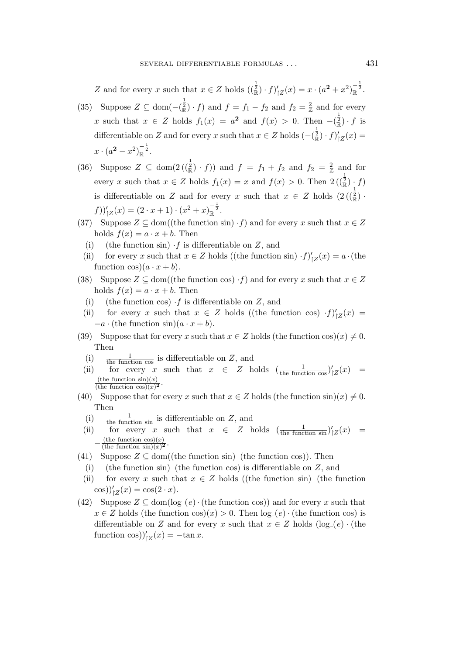Z and for every x such that  $x \in Z$  holds  $\left(\begin{matrix} \frac{1}{2} \\ \mathbb{R} \end{matrix}\right) \cdot f$ /  $\zeta_Z(x) = x \cdot (a^2 + x^2)_\mathbb{R}^{-\frac{1}{2}}.$ 

- (35) Suppose  $Z \subseteq \text{dom}(-\frac{1}{\mathbb{R}}) \cdot f$  and  $f = f_1 f_2$  and  $f_2 = \frac{2}{\mathbb{Z}}$  and for every x such that  $x \in Z$  holds  $f_1(x) = a^2$  and  $f(x) > 0$ . Then  $-\left(\frac{1}{\mathbb{R}}\right) \cdot f$  is differentiable on Z and for every x such that  $x \in Z$  holds  $\left(-\left(\frac{1}{\mathbb{R}}\right) \cdot f\right)'$  $\zeta_{Z}(x) =$  $x \cdot (a^2 - x^2)^{-\frac{1}{2}}_{\mathbb{R}}$ .
- (36) Suppose  $Z \subseteq \text{dom}(2\left(\frac{1}{\mathbb{R}}\right) \cdot f)$  and  $f = f_1 + f_2$  and  $f_2 = \frac{2}{\mathbb{Z}}$  and for every x such that  $x \in Z$  holds  $f_1(x) = x$  and  $f(x) > 0$ . Then  $2\left(\frac{1}{\mathbb{R}}\right) \cdot f$ is differentiable on Z and for every x such that  $x \in Z$  holds  $(2\left(\frac{1}{\mathbb{R}}\right)^2)$ .  $f$ ))'<sub>|Z</sub> $(x) = (2 \cdot x + 1) \cdot (x^2 + x)_{\mathbb{R}}^{-\frac{1}{2}}$ .
- (37) Suppose  $Z \subseteq \text{dom}((\text{the function sin}) \cdot f)$  and for every x such that  $x \in Z$ holds  $f(x) = a \cdot x + b$ . Then
	- (i) (the function sin)  $\cdot f$  is differentiable on Z, and
- (ii) for every x such that  $x \in Z$  holds ((the function sin)  $\cdot f'$ )  $\iota_{|Z}(x) = a \cdot (\text{the})$ function  $\cos((a \cdot x + b))$ .
- (38) Suppose  $Z \subseteq \text{dom}((\text{the function cos}) \cdot f)$  and for every x such that  $x \in Z$ holds  $f(x) = a \cdot x + b$ . Then
	- (i) (the function cos)  $\cdot f$  is differentiable on Z, and
- (ii) for every x such that  $x \in Z$  holds ((the function cos)  $\cdot f$ )'  $\frac{1}{|Z}(x) =$  $-a \cdot$  (the function sin) $(a \cdot x + b)$ .
- (39) Suppose that for every x such that  $x \in Z$  holds (the function cos)(x)  $\neq 0$ . Then
	- (i)  $\frac{1}{\text{the function cos}}$  is differentiable on Z, and
	- (ii) for every x such that  $x \in Z$  holds  $\left(\frac{1}{\text{the function cos}}\right)^{t}$  $\zeta_{|Z}(x) =$ (the function  $sin(x)$ )  $\frac{\text{(the function sin)}(x)}{\text{(the function cos)}(x)^2}$ .
- (40) Suppose that for every x such that  $x \in Z$  holds (the function  $\sin(x) \neq 0$ . Then
	- (i)  $\frac{1}{\text{the function } \sin}$  is differentiable on Z, and
	- (ii) for every x such that  $x \in Z$  holds  $\left(\frac{1}{\text{the function } \sin}\right)^t$  $\int_{\vert Z}(x)$  =  $-\frac{\text{(the function cos)}(x)}{\text{(the function sin)}(x)^2}.$ (the function  $\cos(x)$ )
- (41) Suppose  $Z \subseteq \text{dom}((\text{the function } \sin)(\text{ the function } \cos)).$  Then
	- (i) (the function sin) (the function cos) is differentiable on  $Z$ , and
- (ii) for every x such that  $x \in Z$  holds ((the function sin) (the function  $(\cos)\prime_{|Z}(x) = \cos(2 \cdot x).$
- (42) Suppose  $Z \subseteq \text{dom}(\log_{e}(e) \cdot (\text{the function cos}))$  and for every x such that  $x \in Z$  holds (the function  $\cos(x) > 0$ . Then  $\log_e(e) \cdot$  (the function  $\cos$ ) is differentiable on Z and for every x such that  $x \in Z$  holds  $(\log_{e}(e) \cdot$  (the function  $\cos$ )'<sub>|Z</sub> $(x) = -\tan x$ .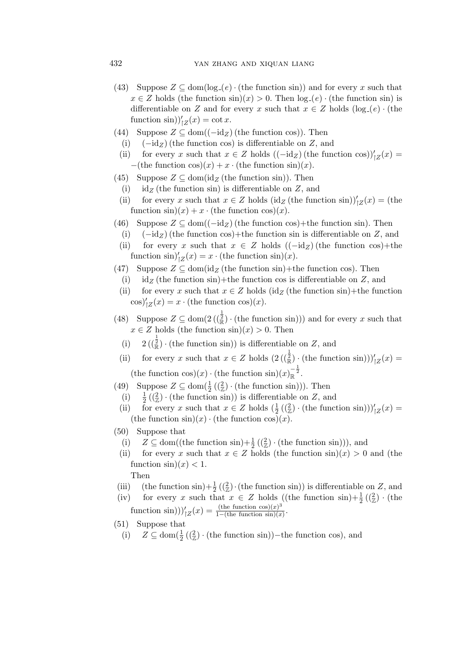- (43) Suppose  $Z \subseteq \text{dom}(\log_{e}(e) \cdot (\text{the function sin}))$  and for every x such that  $x \in Z$  holds (the function  $\sin(x) > 0$ . Then  $\log_e(e) \cdot$  (the function  $\sin(x)$ ) is differentiable on Z and for every x such that  $x \in Z$  holds  $(\log_{e}(e) \cdot$  (the function  $\sin$ )'<sub>|Z</sub> $(x) = \cot x$ .
- (44) Suppose  $Z \subseteq \text{dom}((-\text{id}_Z))$  (the function cos)). Then
	- (i)  $(-id_Z)$  (the function cos) is differentiable on Z, and
	- (ii) for every x such that  $x \in Z$  holds  $((-id_Z)(the function cos))'_{|Z}(x) =$  $-($ the function cos $)(x) + x \cdot$  (the function sin) $(x)$ .
- (45) Suppose  $Z \subseteq \text{dom}(\text{id}_Z \text{ (the function } \sin) )$ . Then
	- (i) id<sub>Z</sub> (the function sin) is differentiable on Z, and
	- (ii) for every x such that  $x \in Z$  holds (id<sub>Z</sub> (the function sin))'<sub>|Z</sub> $(x) =$  (the function  $\sin(x) + x \cdot$  (the function  $\cos(x)$ ).
- (46) Suppose  $Z \subseteq \text{dom}((-\text{id}_Z))$  (the function cos)+the function sin). Then
	- (i)  $(-id_Z)$  (the function cos)+the function sin is differentiable on Z, and
	- (ii) for every x such that  $x \in Z$  holds  $((-id_Z))$  (the function cos)+the function  $\sin\left(\frac{x}{z}\right) = x \cdot (\text{the function } \sin\left(\frac{x}{z}\right)).$
- (47) Suppose  $Z \subseteq \text{dom}(\text{id}_{Z} \text{ (the function } \sin\text{))}$ +the function cos). Then
	- (i) id<sub>Z</sub> (the function sin)+the function cos is differentiable on Z, and
	- (ii) for every x such that  $x \in Z$  holds (id<sub>Z</sub> (the function sin)+the function  $\cos\left(\frac{x}{z}\right) = x \cdot \text{(the function } \cos\left(\frac{x}{z}\right).$
- (48) Suppose  $Z \subseteq \text{dom}(2\left(\frac{1}{\mathbb{R}}\right) \cdot (\text{the function sin}))$  and for every x such that  $x \in Z$  holds (the function  $\sin(x) > 0$ . Then
	- (i)  $2\left(\frac{3}{\mathbb{R}}\right) \cdot \text{(the function } \sin\text{))}$  is differentiable on Z, and
	- (ii) for every x such that  $x \in Z$  holds  $(2\left(\left(\frac{1}{\mathbb{R}}\right) \cdot \text{(the function sin)})\right)_{|Z}(x) =$ (the function cos)(x)  $\cdot$  (the function sin)(x)<sub>R</sub><sup> $-\frac{1}{2}$ </sup>.
- (49) Suppose  $Z \subseteq \text{dom}(\frac{1}{2}(\frac{2}{Z}) \cdot (\text{the function sin})))$ . Then
	- $(i)$  $\frac{1}{2}$  ( $\left(\frac{2}{2}\right)$  · (the function sin)) is differentiable on Z, and
	- (ii) for every x such that  $x \in Z$  holds  $(\frac{1}{2}((\frac{2}{Z}) \cdot (\text{the function sin})))'_{|Z}(x) =$ (the function  $\sin(x) \cdot$  (the function  $\cos(x)$ ).
- (50) Suppose that
	- (i)  $Z \subseteq \text{dom}((\text{the function } \sin) + \frac{1}{2} \left( \left( \frac{2}{Z} \right) \cdot (\text{the function } \sin) \right)),$  and
	- (ii) for every x such that  $x \in Z$  holds (the function  $\sin(x) > 0$  and (the function  $\sin(x) < 1$ . Then
- (iii) (the function sin) +  $\frac{1}{2}$  ( $(\frac{2}{z})$  · (the function sin)) is differentiable on Z, and
- (iv) for every x such that  $x \in Z$  holds ((the function sin)+ $\frac{1}{2}$  ( $(\frac{2}{Z})$ ) · (the function  $\sin))'_{|Z}(x) = \frac{(\text{the function } \cos)(x)^3}{1-(\text{the function } \sin)(x)}$  $\frac{\text{(the function cos)}(x)^2}{1-(\text{the function sin})(x)}$ .
- (51) Suppose that
	- (i)  $Z \subseteq \text{dom}(\frac{1}{2}((\frac{2}{Z}) \cdot (\text{the function sin})) \text{the function cos}),$  and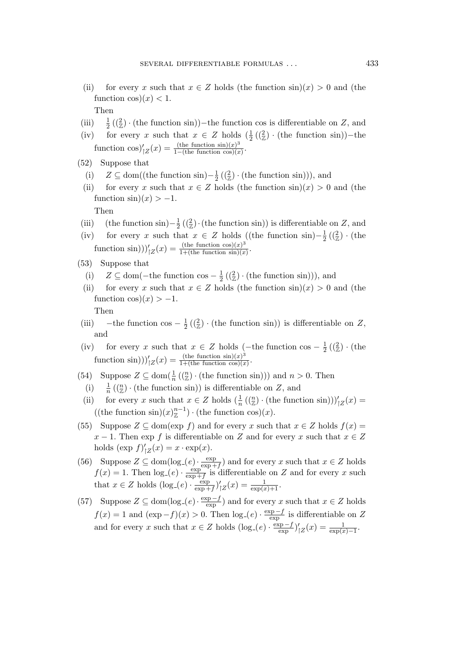(ii) for every x such that  $x \in Z$  holds (the function  $\sin(x) > 0$  and (the function  $\cos(x) < 1$ .

Then

- $(iii)$  $\frac{1}{2}$  ( $(\frac{2}{\mathbb{Z}})$  · (the function sin))–the function cos is differentiable on Z, and
- (iv) for every x such that  $x \in Z$  holds  $(\frac{1}{2}(\frac{2}{z}) \cdot$  (the function sin))-the function  $\cos)'_{Z}(x) = \frac{\text{(the function }\sin)(x)^3}{1-(\text{the function }\cos)(x)}$  $\frac{\text{(the function }\sin)(x)^{2}}{1-\text{(the function }\cos)(x)}$ .
- (52) Suppose that
	- (i)  $Z \subseteq \text{dom}((\text{the function } \sin) \frac{1}{2})$  $\frac{1}{2}$  ( $(\frac{2}{\mathbb{Z}}) \cdot$  (the function sin))), and
- (ii) for every x such that  $x \in Z$  holds (the function  $\sin(x) > 0$  and (the function  $\sin(x) > -1$ .

Then

- (iii) (the function sin) $-\frac{1}{2}$  $\frac{1}{2}$  ( $\left(\frac{2}{\mathbb{Z}}\right)$  (the function sin)) is differentiable on Z, and
- (iv) for every x such that  $x \in Z$  holds ((the function sin) $-\frac{1}{2}$  $\frac{1}{2}$   $(\frac{2}{2}) \cdot$  (the function  $\sin))'_{|Z}(x) = \frac{(\text{the function } \cos)(x)^3}{1+(\text{the function } \sin)(x)}$  $1+($ the function  $sin(x)$ .
- (53) Suppose that
	- (i)  $Z \subseteq$  dom(-the function cos  $\frac{1}{2}$  $\frac{1}{2}$  ( $(\frac{2}{\mathbb{Z}}) \cdot$  (the function sin))), and
- (ii) for every x such that  $x \in Z$  holds (the function  $\sin(x) > 0$  and (the function  $\cos(x) > -1$ .

Then

- (iii) the function cos  $\frac{1}{2}$  $\frac{1}{2}$  ( $(\frac{2}{\mathbb{Z}})$  · (the function sin)) is differentiable on Z, and
- (iv) for every x such that  $x \in Z$  holds (-the function cos  $\frac{1}{2}$ )  $\frac{1}{2}$   $(\frac{2}{2}) \cdot$  (the function  $\sin))'_{|Z}(x) = \frac{(\text{the function } \sin)(x)^3}{1+(\text{the function } \cos)(x)}$  $\frac{\ln(x)}{1 + \ln(x)}$ .
- (54) Suppose  $Z \subseteq \text{dom}(\frac{1}{n}((\frac{n}{Z}) \cdot (\text{the function sin})))$  and  $n > 0$ . Then
	- (i)  $\frac{1}{n} \left( \binom{n}{\mathbb{Z}} \cdot \text{(the function sin)} \right)$  is differentiable on Z, and
- (ii) for every x such that  $x \in Z$  holds  $\left(\frac{1}{n}\left(\binom{n}{Z}\cdot(\text{the function sin})\right)\right)'_{|Z}(x) =$ ((the function  $\sin(x)_{\mathbb{Z}}^{n-1}$ ) · (the function  $\cos(x)$ ).
- (55) Suppose  $Z \subseteq \text{dom}(\exp f)$  and for every x such that  $x \in Z$  holds  $f(x) =$  $x - 1$ . Then exp f is differentiable on Z and for every x such that  $x \in Z$ holds  $(\exp f)'$  $y_Z'(x) = x \cdot \exp(x).$
- (56) Suppose  $Z \subseteq \text{dom}(\log_{-}(e) \cdot \frac{\exp}{\exp x})$  $\frac{\exp}{\exp+f}$  and for every x such that  $x \in Z$  holds  $f(x) = 1$ . Then  $log_{e}(e) \cdot \frac{exp}{exp_{e}(e)}$  $\frac{\exp}{\exp + f}$  is differentiable on Z and for every x such that  $x \in Z$  holds  $(\log_{e}(e) \cdot \frac{\exp_{e}}{\exp_{e}})$  $\frac{\exp}{\exp(f)}$  $C_{|Z}(x) = \frac{1}{\exp(x)+1}.$
- (57) Suppose  $Z \subseteq \text{dom}(\log_{e}(e) \cdot \frac{\exp{-f}}{\exp{x}})$  $(\frac{c_{p}-j}{c_{p}})$  and for every x such that  $x \in Z$  holds  $f(x) = 1$  and  $(\exp-f)(x) > 0$ . Then  $\log_e(e) \cdot \frac{\exp-f}{\exp_e}$  $\frac{\text{cp}-f}{\text{exp}}$  is differentiable on Z and for every x such that  $x \in Z$  holds  $(\log_{-}(e) \cdot \frac{\exp{-f}}{\exp{x}})$  $\frac{\exp-f}{\exp}$ )'  $C_{|Z}(x) = \frac{1}{\exp(x) - 1}.$